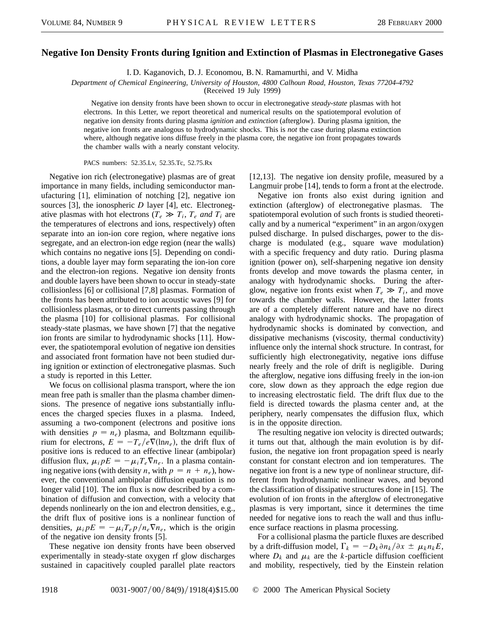## **Negative Ion Density Fronts during Ignition and Extinction of Plasmas in Electronegative Gases**

I. D. Kaganovich, D. J. Economou, B. N. Ramamurthi, and V. Midha

*Department of Chemical Engineering, University of Houston, 4800 Calhoun Road, Houston, Texas 77204-4792*

(Received 19 July 1999)

Negative ion density fronts have been shown to occur in electronegative *steady-state* plasmas with hot electrons. In this Letter, we report theoretical and numerical results on the spatiotemporal evolution of negative ion density fronts during plasma *ignition* and *extinction* (afterglow). During plasma ignition, the negative ion fronts are analogous to hydrodynamic shocks. This is *not* the case during plasma extinction where, although negative ions diffuse freely in the plasma core, the negative ion front propagates towards the chamber walls with a nearly constant velocity.

PACS numbers: 52.35.Lv, 52.35.Tc, 52.75.Rx

Negative ion rich (electronegative) plasmas are of great importance in many fields, including semiconductor manufacturing [1], elimination of notching [2], negative ion sources [3], the ionospheric *D* layer [4], etc. Electronegative plasmas with hot electrons ( $T_e \gg T_i$ ,  $T_e$  *and*  $T_i$  are the temperatures of electrons and ions, respectively) often separate into an ion-ion core region, where negative ions segregate, and an electron-ion edge region (near the walls) which contains no negative ions [5]. Depending on conditions, a double layer may form separating the ion-ion core and the electron-ion regions. Negative ion density fronts and double layers have been shown to occur in steady-state collisionless [6] or collisional [7,8] plasmas. Formation of the fronts has been attributed to ion acoustic waves [9] for collisionless plasmas, or to direct currents passing through the plasma [10] for collisional plasmas. For collisional steady-state plasmas, we have shown [7] that the negative ion fronts are similar to hydrodynamic shocks [11]. However, the spatiotemporal evolution of negative ion densities and associated front formation have not been studied during ignition or extinction of electronegative plasmas. Such a study is reported in this Letter.

We focus on collisional plasma transport, where the ion mean free path is smaller than the plasma chamber dimensions. The presence of negative ions substantially influences the charged species fluxes in a plasma. Indeed, assuming a two-component (electrons and positive ions with densities  $p = n_e$ ) plasma, and Boltzmann equilibrium for electrons,  $E = -T_e/e \nabla(\ln n_e)$ , the drift flux of positive ions is reduced to an effective linear (ambipolar) diffusion flux,  $\mu_i pE = -\mu_i T_e \nabla n_e$ . In a plasma containing negative ions (with density *n*, with  $p = n + n_e$ ), however, the conventional ambipolar diffusion equation is no longer valid [10]. The ion flux is now described by a combination of diffusion and convection, with a velocity that depends nonlinearly on the ion and electron densities, e.g., the drift flux of positive ions is a nonlinear function of densities,  $\mu_i pE = -\mu_i T_e p / n_e \nabla n_e$ , which is the origin of the negative ion density fronts [5].

These negative ion density fronts have been observed experimentally in steady-state oxygen rf glow discharges sustained in capacitively coupled parallel plate reactors [12,13]. The negative ion density profile, measured by a Langmuir probe [14], tends to form a front at the electrode.

Negative ion fronts also exist during ignition and extinction (afterglow) of electronegative plasmas. The spatiotemporal evolution of such fronts is studied theoretically and by a numerical "experiment" in an argon/oxygen pulsed discharge. In pulsed discharges, power to the discharge is modulated (e.g., square wave modulation) with a specific frequency and duty ratio. During plasma ignition (power on), self-sharpening negative ion density fronts develop and move towards the plasma center, in analogy with hydrodynamic shocks. During the afterglow, negative ion fronts exist when  $T_e \gg T_i$ , and move towards the chamber walls. However, the latter fronts are of a completely different nature and have no direct analogy with hydrodynamic shocks. The propagation of hydrodynamic shocks is dominated by convection, and dissipative mechanisms (viscosity, thermal conductivity) influence only the internal shock structure. In contrast, for sufficiently high electronegativity, negative ions diffuse nearly freely and the role of drift is negligible. During the afterglow, negative ions diffusing freely in the ion-ion core, slow down as they approach the edge region due to increasing electrostatic field. The drift flux due to the field is directed towards the plasma center and, at the periphery, nearly compensates the diffusion flux, which is in the opposite direction.

The resulting negative ion velocity is directed outwards; it turns out that, although the main evolution is by diffusion, the negative ion front propagation speed is nearly constant for constant electron and ion temperatures. The negative ion front is a new type of nonlinear structure, different from hydrodynamic nonlinear waves, and beyond the classification of dissipative structures done in [15]. The evolution of ion fronts in the afterglow of electronegative plasmas is very important, since it determines the time needed for negative ions to reach the wall and thus influence surface reactions in plasma processing.

For a collisional plasma the particle fluxes are described by a drift-diffusion model,  $\Gamma_k = -D_k \partial n_k / \partial x \pm \mu_k n_k E$ , where  $D_k$  and  $\mu_k$  are the *k*-particle diffusion coefficient and mobility, respectively, tied by the Einstein relation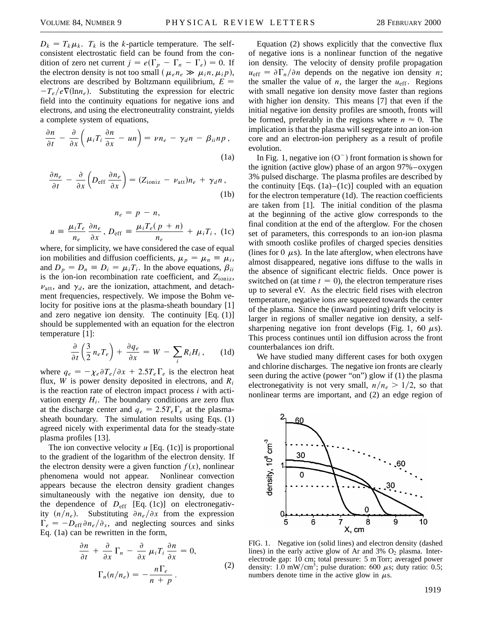$D_k = T_k \mu_k$ .  $T_k$  is the *k*-particle temperature. The selfconsistent electrostatic field can be found from the condition of zero net current  $j = e(\Gamma_p - \Gamma_n - \Gamma_e) = 0$ . If the electron density is not too small  $(\mu_e n_e \gg \mu_i n, \mu_i p)$ , electrons are described by Boltzmann equilibrium, *E*  $-T_e/e\nabla(\ln n_e)$ . Substituting the expression for electric field into the continuity equations for negative ions and electrons, and using the electroneutrality constraint, yields a complete system of equations,

$$
\frac{\partial n}{\partial t} - \frac{\partial}{\partial x} \left( \mu_i T_i \frac{\partial n}{\partial x} - un \right) = \nu n_e - \gamma_d n - \beta_{ii} n p ,
$$
\n(1a)

$$
\frac{\partial n_e}{\partial t} - \frac{\partial}{\partial x} \left( D_{\text{eff}} \frac{\partial n_e}{\partial x} \right) = (Z_{\text{ioniz}} - \nu_{\text{att}}) n_e + \gamma_d n , \tag{1b}
$$

$$
n_e = p - n,
$$
  

$$
u = \frac{\mu_i T_e}{n_e} \frac{\partial n_e}{\partial x}, D_{\text{eff}} = \frac{\mu_i T_e (p + n)}{n_e} + \mu_i T_i, (1c)
$$

where, for simplicity, we have considered the case of equal ion mobilities and diffusion coefficients,  $\mu_p = \mu_n \equiv \mu_i$ , and  $D_p = D_n \equiv D_i = \mu_i T_i$ . In the above equations,  $\beta_{ii}$ is the ion-ion recombination rate coefficient, and *Z*ioniz,  $v_{\text{att}}$ , and  $\gamma_d$ , are the ionization, attachment, and detachment frequencies, respectively. We impose the Bohm velocity for positive ions at the plasma-sheath boundary [1] and zero negative ion density. The continuity [Eq. (1)] should be supplemented with an equation for the electron temperature [1]:

$$
\frac{\partial}{\partial t}\left(\frac{3}{2}n_eT_e\right) + \frac{\partial q_e}{\partial x} = W - \sum_i R_iH_i, \qquad (1d)
$$

where  $q_e = -\chi_e \partial T_e / \partial x + 2.5 T_e \Gamma_e$  is the electron heat flux, *W* is power density deposited in electrons, and *Ri* is the reaction rate of electron impact process *i* with activation energy  $H_i$ . The boundary conditions are zero flux at the discharge center and  $q_e = 2.5T_e\Gamma_e$  at the plasmasheath boundary. The simulation results using Eqs. (1) agreed nicely with experimental data for the steady-state plasma profiles [13].

The ion convective velocity *u* [Eq. (1c)] is proportional to the gradient of the logarithm of the electron density. If the electron density were a given function  $f(x)$ , nonlinear phenomena would not appear. Nonlinear convection appears because the electron density gradient changes simultaneously with the negative ion density, due to the dependence of  $D_{\text{eff}}$  [Eq. (1c)] on electronegativity  $(n/n_e)$ . Substituting  $\partial n_e/\partial x$  from the expression  $\Gamma_e = -D_{\text{eff}} \partial n_e / \partial_x$ , and neglecting sources and sinks Eq. (1a) can be rewritten in the form,

$$
\frac{\partial n}{\partial t} + \frac{\partial}{\partial x} \Gamma_n - \frac{\partial}{\partial x} \mu_i T_i \frac{\partial n}{\partial x} = 0,
$$
  

$$
\Gamma_n(n/n_e) = -\frac{n \Gamma_e}{n+p}.
$$
 (2)

Equation (2) shows explicitly that the convective flux of negative ions is a nonlinear function of the negative ion density. The velocity of density profile propagation  $u_{\text{eff}} = \partial \Gamma_n / \partial n$  depends on the negative ion density *n*; the smaller the value of  $n$ , the larger the  $u_{\text{eff}}$ . Regions with small negative ion density move faster than regions with higher ion density. This means [7] that even if the initial negative ion density profiles are smooth, fronts will be formed, preferably in the regions where  $n \approx 0$ . The implication is that the plasma will segregate into an ion-ion core and an electron-ion periphery as a result of profile evolution.

In Fig. 1, negative ion  $(O^-)$  front formation is shown for the ignition (active glow) phase of an argon 97%–oxygen 3% pulsed discharge. The plasma profiles are described by the continuity [Eqs.  $(1a)$ – $(1c)$ ] coupled with an equation for the electron temperature (1d). The reaction coefficients are taken from [1]. The initial condition of the plasma at the beginning of the active glow corresponds to the final condition at the end of the afterglow. For the chosen set of parameters, this corresponds to an ion-ion plasma with smooth coslike profiles of charged species densities (lines for  $0 \mu s$ ). In the late afterglow, when electrons have almost disappeared, negative ions diffuse to the walls in the absence of significant electric fields. Once power is switched on (at time  $t = 0$ ), the electron temperature rises up to several eV. As the electric field rises with electron temperature, negative ions are squeezed towards the center of the plasma. Since the (inward pointing) drift velocity is larger in regions of smaller negative ion density, a selfsharpening negative ion front develops (Fig. 1, 60  $\mu$ s). This process continues until ion diffusion across the front counterbalances ion drift.

We have studied many different cases for both oxygen and chlorine discharges. The negative ion fronts are clearly seen during the active (power "on") glow if (1) the plasma electronegativity is not very small,  $n/n_e > 1/2$ , so that nonlinear terms are important, and (2) an edge region of



FIG. 1. Negative ion (solid lines) and electron density (dashed lines) in the early active glow of Ar and 3%  $O_2$  plasma. Interelectrode gap: 10 cm; total pressure: 5 m Torr; averaged power density: 1.0 mW/cm<sup>3</sup>; pulse duration: 600  $\mu$ s; duty ratio: 0.5; numbers denote time in the active glow in  $\mu$ s.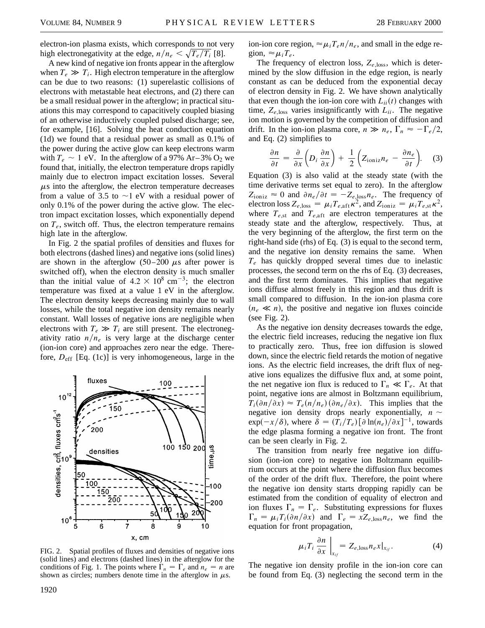electron-ion plasma exists, which corresponds to not very high electronegativity at the edge,  $n/n_e < \sqrt{T_e/T_i}$  [8].

A new kind of negative ion fronts appear in the afterglow when  $T_e \gg T_i$ . High electron temperature in the afterglow can be due to two reasons: (1) superelastic collisions of electrons with metastable heat electrons, and (2) there can be a small residual power in the afterglow; in practical situations this may correspond to capacitively coupled biasing of an otherwise inductively coupled pulsed discharge; see, for example, [16]. Solving the heat conduction equation (1d) we found that a residual power as small as 0.1% of the power during the active glow can keep electrons warm with  $T_e \sim 1$  eV. In the afterglow of a 97% Ar–3% O<sub>2</sub> we found that, initially, the electron temperature drops rapidly mainly due to electron impact excitation losses. Several  $\mu$ s into the afterglow, the electron temperature decreases from a value of 3.5 to  $\sim$ 1 eV with a residual power of only 0.1% of the power during the active glow. The electron impact excitation losses, which exponentially depend on  $T_e$ , switch off. Thus, the electron temperature remains high late in the afterglow.

In Fig. 2 the spatial profiles of densities and fluxes for both electrons (dashed lines) and negative ions (solid lines) are shown in the afterglow  $(50-200 \mu s)$  after power is switched off), when the electron density is much smaller than the initial value of  $4.2 \times 10^8$  cm<sup>-3</sup>; the electron temperature was fixed at a value 1 eV in the afterglow. The electron density keeps decreasing mainly due to wall losses, while the total negative ion density remains nearly constant. Wall losses of negative ions are negligible when electrons with  $T_e \gg T_i$  are still present. The electronegativity ratio  $n/n_e$  is very large at the discharge center (ion-ion core) and approaches zero near the edge. Therefore, *D*eff [Eq. (1c)] is very inhomogeneous, large in the



FIG. 2. Spatial profiles of fluxes and densities of negative ions (solid lines) and electrons (dashed lines) in the afterglow for the conditions of Fig. 1. The points where  $\Gamma_n = \Gamma_e$  and  $n_e = n$  are shown as circles; numbers denote time in the afterglow in  $\mu$ s.

ion-ion core region,  $\approx \mu_i T_e n / n_e$ , and small in the edge region,  $\approx \mu_i T_e$ .

The frequency of electron loss,  $Z_{e,loss}$ , which is determined by the slow diffusion in the edge region, is nearly constant as can be deduced from the exponential decay of electron density in Fig. 2. We have shown analytically that even though the ion-ion core with  $L_{ii}(t)$  changes with time,  $Z_{e,loss}$  varies insignificantly with  $L_{ii}$ . The negative ion motion is governed by the competition of diffusion and drift. In the ion-ion plasma core,  $n \gg n_e$ ,  $\Gamma_n \approx -\Gamma_e/2$ , and Eq. (2) simplifies to

$$
\frac{\partial n}{\partial t} = \frac{\partial}{\partial x} \left( D_i \frac{\partial n}{\partial x} \right) + \frac{1}{2} \left( Z_{\text{ioniz}} n_e - \frac{\partial n_e}{\partial t} \right). \quad (3)
$$

Equation (3) is also valid at the steady state (with the time derivative terms set equal to zero). In the afterglow  $Z_{\text{ioniz}} \approx 0$  and  $\partial n_e / \partial t = -Z_{e,\text{loss}} n_e$ . The frequency of electron loss  $Z_{e,\text{loss}} = \mu_i T_{e,\text{aff}} \kappa^2$ , and  $Z_{\text{ioniz}} = \mu_i T_{e,\text{st}} \kappa^2$ , where  $T_{e,st}$  and  $T_{e,aff}$  are electron temperatures at the steady state and the afterglow, respectively. Thus, at the very beginning of the afterglow, the first term on the right-hand side (rhs) of Eq. (3) is equal to the second term, and the negative ion density remains the same. When *Te* has quickly dropped several times due to inelastic processes, the second term on the rhs of Eq. (3) decreases, and the first term dominates. This implies that negative ions diffuse almost freely in this region and thus drift is small compared to diffusion. In the ion-ion plasma core  $(n_e \ll n)$ , the positive and negative ion fluxes coincide (see Fig. 2).

As the negative ion density decreases towards the edge, the electric field increases, reducing the negative ion flux to practically zero. Thus, free ion diffusion is slowed down, since the electric field retards the motion of negative ions. As the electric field increases, the drift flux of negative ions equalizes the diffusive flux and, at some point, the net negative ion flux is reduced to  $\Gamma_n \ll \Gamma_e$ . At that point, negative ions are almost in Boltzmann equilibrium,  $T_i(\partial n/\partial x) \approx T_e(n/n_e)(\partial n_e/\partial x)$ . This implies that the negative ion density drops nearly exponentially,  $n \sim$  $\exp(-x/\delta)$ , where  $\delta = (T_i/T_e)[\partial \ln(n_e)/\partial x]^{-1}$ , towards the edge plasma forming a negative ion front. The front can be seen clearly in Fig. 2.

The transition from nearly free negative ion diffusion (ion-ion core) to negative ion Boltzmann equilibrium occurs at the point where the diffusion flux becomes of the order of the drift flux. Therefore, the point where the negative ion density starts dropping rapidly can be estimated from the condition of equality of electron and ion fluxes  $\Gamma_n = \Gamma_e$ . Substituting expressions for fluxes  $\Gamma_n = \mu_i T_i(\partial n/\partial x)$  and  $\Gamma_e = x Z_{e,\text{loss}} n_e$ , we find the equation for front propagation,

$$
\mu_i T_i \frac{\partial n}{\partial x}\Big|_{x_{if}} = Z_{e,\text{loss}} n_e x|_{x_{if}}.
$$
 (4)

The negative ion density profile in the ion-ion core can be found from Eq. (3) neglecting the second term in the